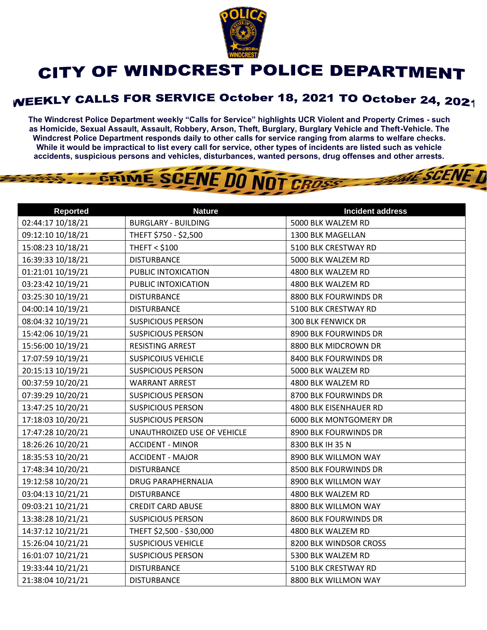

## CITY OF WINDCREST POLICE DEPARTMENT

## **WEEKLY CALLS FOR SERVICE October 18, 2021 TO October 24, 2021**

**The Windcrest Police Department weekly "Calls for Service" highlights UCR Violent and Property Crimes - such as Homicide, Sexual Assault, Assault, Robbery, Arson, Theft, Burglary, Burglary Vehicle and Theft-Vehicle. The Windcrest Police Department responds daily to other calls for service ranging from alarms to welfare checks. While it would be impractical to list every call for service, other types of incidents are listed such as vehicle accidents, suspicious persons and vehicles, disturbances, wanted persons, drug offenses and other arrests.** 

**THE SCENE D** 

## GRIME SCENE DO NOT CROSS

| <b>Reported</b>   | <b>Nature</b>               | <b>Incident address</b>   |
|-------------------|-----------------------------|---------------------------|
| 02:44:17 10/18/21 | <b>BURGLARY - BUILDING</b>  | 5000 BLK WALZEM RD        |
| 09:12:10 10/18/21 | THEFT \$750 - \$2,500       | 1300 BLK MAGELLAN         |
| 15:08:23 10/18/21 | <b>THEFT &lt; \$100</b>     | 5100 BLK CRESTWAY RD      |
| 16:39:33 10/18/21 | <b>DISTURBANCE</b>          | 5000 BLK WALZEM RD        |
| 01:21:01 10/19/21 | PUBLIC INTOXICATION         | 4800 BLK WALZEM RD        |
| 03:23:42 10/19/21 | PUBLIC INTOXICATION         | 4800 BLK WALZEM RD        |
| 03:25:30 10/19/21 | <b>DISTURBANCE</b>          | 8800 BLK FOURWINDS DR     |
| 04:00:14 10/19/21 | <b>DISTURBANCE</b>          | 5100 BLK CRESTWAY RD      |
| 08:04:32 10/19/21 | <b>SUSPICIOUS PERSON</b>    | <b>300 BLK FENWICK DR</b> |
| 15:42:06 10/19/21 | <b>SUSPICIOUS PERSON</b>    | 8900 BLK FOURWINDS DR     |
| 15:56:00 10/19/21 | RESISTING ARREST            | 8800 BLK MIDCROWN DR      |
| 17:07:59 10/19/21 | <b>SUSPICOIUS VEHICLE</b>   | 8400 BLK FOURWINDS DR     |
| 20:15:13 10/19/21 | <b>SUSPICIOUS PERSON</b>    | 5000 BLK WALZEM RD        |
| 00:37:59 10/20/21 | <b>WARRANT ARREST</b>       | 4800 BLK WALZEM RD        |
| 07:39:29 10/20/21 | <b>SUSPICIOUS PERSON</b>    | 8700 BLK FOURWINDS DR     |
| 13:47:25 10/20/21 | <b>SUSPICIOUS PERSON</b>    | 4800 BLK EISENHAUER RD    |
| 17:18:03 10/20/21 | <b>SUSPICIOUS PERSON</b>    | 6000 BLK MONTGOMERY DR    |
| 17:47:28 10/20/21 | UNAUTHROIZED USE OF VEHICLE | 8900 BLK FOURWINDS DR     |
| 18:26:26 10/20/21 | <b>ACCIDENT - MINOR</b>     | 8300 BLK IH 35 N          |
| 18:35:53 10/20/21 | <b>ACCIDENT - MAJOR</b>     | 8900 BLK WILLMON WAY      |
| 17:48:34 10/20/21 | <b>DISTURBANCE</b>          | 8500 BLK FOURWINDS DR     |
| 19:12:58 10/20/21 | <b>DRUG PARAPHERNALIA</b>   | 8900 BLK WILLMON WAY      |
| 03:04:13 10/21/21 | <b>DISTURBANCE</b>          | 4800 BLK WALZEM RD        |
| 09:03:21 10/21/21 | <b>CREDIT CARD ABUSE</b>    | 8800 BLK WILLMON WAY      |
| 13:38:28 10/21/21 | <b>SUSPICIOUS PERSON</b>    | 8600 BLK FOURWINDS DR     |
| 14:37:12 10/21/21 | THEFT \$2,500 - \$30,000    | 4800 BLK WALZEM RD        |
| 15:26:04 10/21/21 | <b>SUSPICIOUS VEHICLE</b>   | 8200 BLK WINDSOR CROSS    |
| 16:01:07 10/21/21 | <b>SUSPICIOUS PERSON</b>    | 5300 BLK WALZEM RD        |
| 19:33:44 10/21/21 | <b>DISTURBANCE</b>          | 5100 BLK CRESTWAY RD      |
| 21:38:04 10/21/21 | <b>DISTURBANCE</b>          | 8800 BLK WILLMON WAY      |